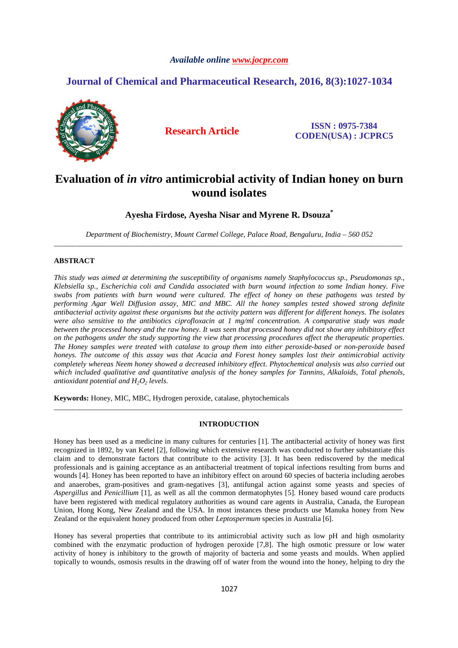### *Available online www.jocpr.com*

## **Journal of Chemical and Pharmaceutical Research, 2016, 8(3):1027-1034**



**Research Article ISSN : 0975-7384 CODEN(USA) : JCPRC5**

# **Evaluation of** *in vitro* **antimicrobial activity of Indian honey on burn wound isolates**

**Ayesha Firdose, Ayesha Nisar and Myrene R. Dsouza\*** 

*Department of Biochemistry, Mount Carmel College, Palace Road, Bengaluru, India – 560 052*  \_\_\_\_\_\_\_\_\_\_\_\_\_\_\_\_\_\_\_\_\_\_\_\_\_\_\_\_\_\_\_\_\_\_\_\_\_\_\_\_\_\_\_\_\_\_\_\_\_\_\_\_\_\_\_\_\_\_\_\_\_\_\_\_\_\_\_\_\_\_\_\_\_\_\_\_\_\_\_\_\_\_\_\_\_\_\_\_\_\_\_\_\_

### **ABSTRACT**

*This study was aimed at determining the susceptibility of organisms namely Staphylococcus sp., Pseudomonas sp., Klebsiella sp., Escherichia coli and Candida associated with burn wound infection to some Indian honey. Five swabs from patients with burn wound were cultured. The effect of honey on these pathogens was tested by performing Agar Well Diffusion assay, MIC and MBC. All the honey samples tested showed strong definite antibacterial activity against these organisms but the activity pattern was different for different honeys. The isolates were also sensitive to the antibiotics ciprofloxacin at 1 mg/ml concentration. A comparative study was made between the processed honey and the raw honey. It was seen that processed honey did not show any inhibitory effect on the pathogens under the study supporting the view that processing procedures affect the therapeutic properties. The Honey samples were treated with catalase to group them into either peroxide-based or non-peroxide based honeys. The outcome of this assay was that Acacia and Forest honey samples lost their antimicrobial activity completely whereas Neem honey showed a decreased inhibitory effect. Phytochemical analysis was also carried out*  which included qualitative and quantitative analysis of the honey samples for Tannins, Alkaloids, Total phenols, *antioxidant potential and H2O2 levels.* 

**Keywords:** Honey, MIC, MBC, Hydrogen peroxide, catalase, phytochemicals

#### **INTRODUCTION**

\_\_\_\_\_\_\_\_\_\_\_\_\_\_\_\_\_\_\_\_\_\_\_\_\_\_\_\_\_\_\_\_\_\_\_\_\_\_\_\_\_\_\_\_\_\_\_\_\_\_\_\_\_\_\_\_\_\_\_\_\_\_\_\_\_\_\_\_\_\_\_\_\_\_\_\_\_\_\_\_\_\_\_\_\_\_\_\_\_\_\_\_\_

Honey has been used as a medicine in many cultures for centuries [1]. The antibacterial activity of honey was first recognized in 1892, by van Ketel [2], following which extensive research was conducted to further substantiate this claim and to demonstrate factors that contribute to the activity [3]. It has been rediscovered by the medical professionals and is gaining acceptance as an antibacterial treatment of topical infections resulting from burns and wounds [4]. Honey has been reported to have an inhibitory effect on around 60 species of bacteria including aerobes and anaerobes, gram-positives and gram-negatives [3], antifungal action against some yeasts and species of *Aspergillus* and *Penicillium* [1], as well as all the common dermatophytes [5]. Honey based wound care products have been registered with medical regulatory authorities as wound care agents in Australia, Canada, the European Union, Hong Kong, New Zealand and the USA. In most instances these products use Manuka honey from New Zealand or the equivalent honey produced from other *Leptospermum* species in Australia [6].

Honey has several properties that contribute to its antimicrobial activity such as low pH and high osmolarity combined with the enzymatic production of hydrogen peroxide [7,8]. The high osmotic pressure or low water activity of honey is inhibitory to the growth of majority of bacteria and some yeasts and moulds. When applied topically to wounds, osmosis results in the drawing off of water from the wound into the honey, helping to dry the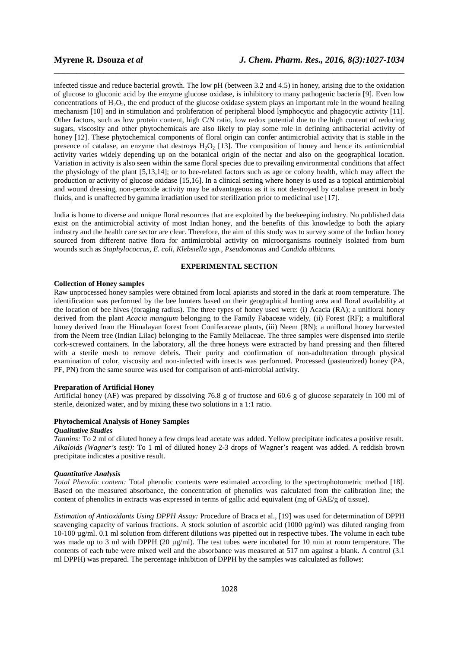infected tissue and reduce bacterial growth. The low pH (between 3.2 and 4.5) in honey, arising due to the oxidation of glucose to gluconic acid by the enzyme glucose oxidase, is inhibitory to many pathogenic bacteria [9]. Even low concentrations of  $H_2O_2$ , the end product of the glucose oxidase system plays an important role in the wound healing mechanism [10] and in stimulation and proliferation of peripheral blood lymphocytic and phagocytic activity [11]. Other factors, such as low protein content, high C/N ratio, low redox potential due to the high content of reducing sugars, viscosity and other phytochemicals are also likely to play some role in defining antibacterial activity of honey [12]. These phytochemical components of floral origin can confer antimicrobial activity that is stable in the presence of catalase, an enzyme that destroys  $H_2O_2$  [13]. The composition of honey and hence its antimicrobial activity varies widely depending up on the botanical origin of the nectar and also on the geographical location. Variation in activity is also seen within the same floral species due to prevailing environmental conditions that affect the physiology of the plant [5,13,14]; or to bee-related factors such as age or colony health, which may affect the production or activity of glucose oxidase [15,16]. In a clinical setting where honey is used as a topical antimicrobial and wound dressing, non-peroxide activity may be advantageous as it is not destroyed by catalase present in body fluids, and is unaffected by gamma irradiation used for sterilization prior to medicinal use [17].

\_\_\_\_\_\_\_\_\_\_\_\_\_\_\_\_\_\_\_\_\_\_\_\_\_\_\_\_\_\_\_\_\_\_\_\_\_\_\_\_\_\_\_\_\_\_\_\_\_\_\_\_\_\_\_\_\_\_\_\_\_\_\_\_\_\_\_\_\_\_\_\_\_\_\_\_\_\_

India is home to diverse and unique floral resources that are exploited by the beekeeping industry. No published data exist on the antimicrobial activity of most Indian honey, and the benefits of this knowledge to both the apiary industry and the health care sector are clear. Therefore, the aim of this study was to survey some of the Indian honey sourced from different native flora for antimicrobial activity on microorganisms routinely isolated from burn wounds such as *Staphylococcus, E. coli, Klebsiella spp., Pseudomonas* and *Candida albicans.*

#### **EXPERIMENTAL SECTION**

#### **Collection of Honey samples**

Raw unprocessed honey samples were obtained from local apiarists and stored in the dark at room temperature. The identification was performed by the bee hunters based on their geographical hunting area and floral availability at the location of bee hives (foraging radius). The three types of honey used were: (i) Acacia (RA); a unifloral honey derived from the plant *Acacia mangium* belonging to the Family Fabaceae widely, (ii) Forest (RF); a multifloral honey derived from the Himalayan forest from Coniferaceae plants, (iii) Neem (RN); a unifloral honey harvested from the Neem tree (Indian Lilac) belonging to the Family Meliaceae. The three samples were dispensed into sterile cork-screwed containers. In the laboratory, all the three honeys were extracted by hand pressing and then filtered with a sterile mesh to remove debris. Their purity and confirmation of non-adulteration through physical examination of color, viscosity and non-infected with insects was performed. Processed (pasteurized) honey (PA, PF, PN) from the same source was used for comparison of anti-microbial activity.

#### **Preparation of Artificial Honey**

Artificial honey (AF) was prepared by dissolving 76.8 g of fructose and 60.6 g of glucose separately in 100 ml of sterile, deionized water, and by mixing these two solutions in a 1:1 ratio.

#### **Phytochemical Analysis of Honey Samples**

#### *Qualitative Studies*

*Tannins:* To 2 ml of diluted honey a few drops lead acetate was added. Yellow precipitate indicates a positive result. *Alkaloids (Wagner's test):* To 1 ml of diluted honey 2-3 drops of Wagner's reagent was added. A reddish brown precipitate indicates a positive result.

#### *Quantitative Analysis*

*Total Phenolic content:* Total phenolic contents were estimated according to the spectrophotometric method [18]. Based on the measured absorbance, the concentration of phenolics was calculated from the calibration line; the content of phenolics in extracts was expressed in terms of gallic acid equivalent (mg of GAE/g of tissue).

*Estimation of Antioxidants Using DPPH Assay:* Procedure of Braca et al., [19] was used for determination of DPPH scavenging capacity of various fractions. A stock solution of ascorbic acid (1000 µg/ml) was diluted ranging from 10-100 µg/ml. 0.1 ml solution from different dilutions was pipetted out in respective tubes. The volume in each tube was made up to 3 ml with DPPH (20  $\mu$ g/ml). The test tubes were incubated for 10 min at room temperature. The contents of each tube were mixed well and the absorbance was measured at 517 nm against a blank. A control (3.1 ml DPPH) was prepared. The percentage inhibition of DPPH by the samples was calculated as follows: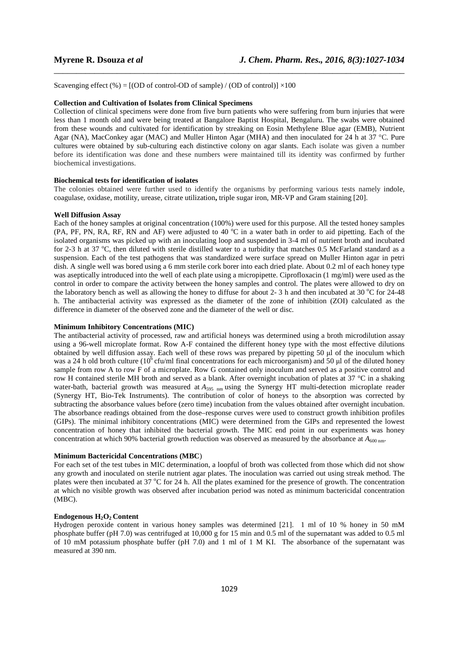Scavenging effect (%) =  $[(OD of control-OD of sample) / (OD of control)] \times 100$ 

#### **Collection and Cultivation of Isolates from Clinical Specimens**

Collection of clinical specimens were done from five burn patients who were suffering from burn injuries that were less than 1 month old and were being treated at Bangalore Baptist Hospital, Bengaluru. The swabs were obtained from these wounds and cultivated for identification by streaking on Eosin Methylene Blue agar (EMB), Nutrient Agar (NA), MacConkey agar (MAC) and Muller Hinton Agar (MHA) and then inoculated for 24 h at 37 °C. Pure cultures were obtained by sub-culturing each distinctive colony on agar slants. Each isolate was given a number before its identification was done and these numbers were maintained till its identity was confirmed by further biochemical investigations.

\_\_\_\_\_\_\_\_\_\_\_\_\_\_\_\_\_\_\_\_\_\_\_\_\_\_\_\_\_\_\_\_\_\_\_\_\_\_\_\_\_\_\_\_\_\_\_\_\_\_\_\_\_\_\_\_\_\_\_\_\_\_\_\_\_\_\_\_\_\_\_\_\_\_\_\_\_\_

#### **Biochemical tests for identification of isolates**

The colonies obtained were further used to identify the organisms by performing various tests namely indole, coagulase, oxidase, motility, urease, citrate utilization**,** triple sugar iron, MR-VP and Gram staining [20].

#### **Well Diffusion Assay**

Each of the honey samples at original concentration (100%) were used for this purpose. All the tested honey samples (PA, PF, PN, RA, RF, RN and AF) were adjusted to 40  $^{\circ}$ C in a water bath in order to aid pipetting. Each of the isolated organisms was picked up with an inoculating loop and suspended in 3-4 ml of nutrient broth and incubated for 2-3 h at 37 °C, then diluted with sterile distilled water to a turbidity that matches 0.5 McFarland standard as a suspension. Each of the test pathogens that was standardized were surface spread on Muller Hinton agar in petri dish. A single well was bored using a 6 mm sterile cork borer into each dried plate. About 0.2 ml of each honey type was aseptically introduced into the well of each plate using a micropipette. Ciprofloxacin (1 mg/ml) were used as the control in order to compare the activity between the honey samples and control. The plates were allowed to dry on the laboratory bench as well as allowing the honey to diffuse for about 2- 3 h and then incubated at 30  $^{\circ}$ C for 24-48 h. The antibacterial activity was expressed as the diameter of the zone of inhibition (ZOI) calculated as the difference in diameter of the observed zone and the diameter of the well or disc.

#### **Minimum Inhibitory Concentrations (MIC)**

The antibacterial activity of processed, raw and artificial honeys was determined using a broth microdilution assay using a 96-well microplate format. Row A-F contained the different honey type with the most effective dilutions obtained by well diffusion assay. Each well of these rows was prepared by pipetting 50 µl of the inoculum which was a 24 h old broth culture (10<sup>6</sup> cfu/ml final concentrations for each microorganism) and 50 µl of the diluted honey sample from row A to row F of a microplate. Row G contained only inoculum and served as a positive control and row H contained sterile MH broth and served as a blank. After overnight incubation of plates at 37 °C in a shaking water-bath, bacterial growth was measured at *A*<sub>595 nm</sub> using the Synergy HT multi-detection microplate reader (Synergy HT, Bio-Tek Instruments). The contribution of color of honeys to the absorption was corrected by subtracting the absorbance values before (zero time) incubation from the values obtained after overnight incubation. The absorbance readings obtained from the dose–response curves were used to construct growth inhibition profiles (GIPs). The minimal inhibitory concentrations (MIC) were determined from the GIPs and represented the lowest concentration of honey that inhibited the bacterial growth. The MIC end point in our experiments was honey concentration at which 90% bacterial growth reduction was observed as measured by the absorbance at  $A_{600 \text{ nm}}$ .

#### **Minimum Bactericidal Concentrations (MBC**)

For each set of the test tubes in MIC determination, a loopful of broth was collected from those which did not show any growth and inoculated on sterile nutrient agar plates. The inoculation was carried out using streak method. The plates were then incubated at 37  $^{\circ}$ C for 24 h. All the plates examined for the presence of growth. The concentration at which no visible growth was observed after incubation period was noted as minimum bactericidal concentration (MBC).

#### **Endogenous H2O2 Content**

Hydrogen peroxide content in various honey samples was determined [21]. 1 ml of 10 % honey in 50 mM phosphate buffer (pH 7.0) was centrifuged at 10,000 g for 15 min and 0.5 ml of the supernatant was added to 0.5 ml of 10 mM potassium phosphate buffer (pH 7.0) and 1 ml of 1 M KI. The absorbance of the supernatant was measured at 390 nm.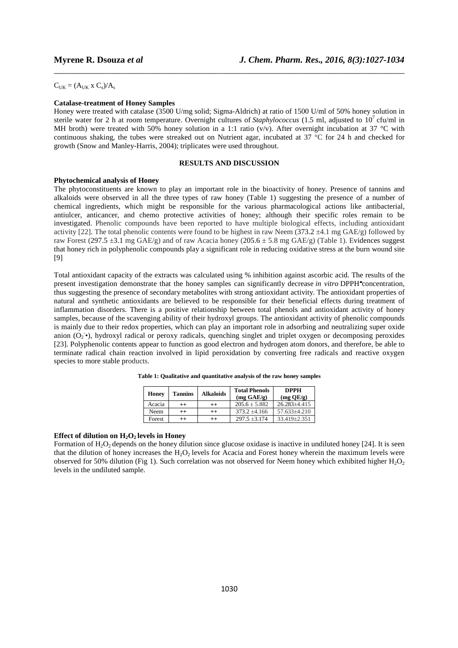$C_{UK} = (A_{UK} \times C_s)/A_s$ 

#### **Catalase-treatment of Honey Samples**

Honey were treated with catalase (3500 U/mg solid; Sigma-Aldrich) at ratio of 1500 U/ml of 50% honey solution in sterile water for 2 h at room temperature. Overnight cultures of *Staphylococcus* (1.5 ml, adjusted to  $10^7$  cfu/ml in MH broth) were treated with 50% honey solution in a 1:1 ratio (v/v). After overnight incubation at 37 °C with continuous shaking, the tubes were streaked out on Nutrient agar, incubated at 37 °C for 24 h and checked for growth (Snow and Manley-Harris, 2004); triplicates were used throughout.

\_\_\_\_\_\_\_\_\_\_\_\_\_\_\_\_\_\_\_\_\_\_\_\_\_\_\_\_\_\_\_\_\_\_\_\_\_\_\_\_\_\_\_\_\_\_\_\_\_\_\_\_\_\_\_\_\_\_\_\_\_\_\_\_\_\_\_\_\_\_\_\_\_\_\_\_\_\_

#### **RESULTS AND DISCUSSION**

#### **Phytochemical analysis of Honey**

The phytoconstituents are known to play an important role in the bioactivity of honey. Presence of tannins and alkaloids were observed in all the three types of raw honey (Table 1) suggesting the presence of a number of chemical ingredients, which might be responsible for the various pharmacological actions like antibacterial, antiulcer, anticancer, and chemo protective activities of honey; although their specific roles remain to be investigated. Phenolic compounds have been reported to have multiple biological effects, including antioxidant activity [22]. The total phenolic contents were found to be highest in raw Neem (373.2  $\pm$ 4.1 mg GAE/g) followed by raw Forest (297.5  $\pm$ 3.1 mg GAE/g) and of raw Acacia honey (205.6  $\pm$  5.8 mg GAE/g) (Table 1). Evidences suggest that honey rich in polyphenolic compounds play a significant role in reducing oxidative stress at the burn wound site [9]

Total antioxidant capacity of the extracts was calculated using % inhibition against ascorbic acid. The results of the present investigation demonstrate that the honey samples can significantly decrease *in vitro* DPPH concentration, thus suggesting the presence of secondary metabolites with strong antioxidant activity. The antioxidant properties of natural and synthetic antioxidants are believed to be responsible for their beneficial effects during treatment of inflammation disorders. There is a positive relationship between total phenols and antioxidant activity of honey samples, because of the scavenging ability of their hydroxyl groups. The antioxidant activity of phenolic compounds is mainly due to their redox properties, which can play an important role in adsorbing and neutralizing super oxide anion  $(O_2^{\bullet})$ , hydroxyl radical or peroxy radicals, quenching singlet and triplet oxygen or decomposing peroxides [23]. Polyphenolic contents appear to function as good electron and hydrogen atom donors, and therefore, be able to terminate radical chain reaction involved in lipid peroxidation by converting free radicals and reactive oxygen species to more stable products.

| Honey  | <b>Tannins</b> | <b>Alkaloids</b> | <b>Total Phenols</b><br>$(mg \text{ GAE/g})$ | <b>DPPH</b><br>$(mg \times QE/g)$ |
|--------|----------------|------------------|----------------------------------------------|-----------------------------------|
| Acacia | $^{++}$        | $^{\mathrm{+}}$  | $205.6 + 5.882$                              | $26.283 + 4.415$                  |
| Neem   | $^{++}$        | $^{\mathrm{+}}$  | $373.2 + 4.166$                              | $57.633 + 4.210$                  |
| Forest | $^{++}$        | $^{\mathrm{+}}$  | $297.5 + 3.174$                              | $33.419 + 2.351$                  |

**Table 1: Qualitative and quantitative analysis of the raw honey samples** 

#### **Effect of dilution on H2O2 levels in Honey**

Formation of  $H_2O_2$  depends on the honey dilution since glucose oxidase is inactive in undiluted honey [24]. It is seen that the dilution of honey increases the  $H_2O_2$  levels for Acacia and Forest honey wherein the maximum levels were observed for 50% dilution (Fig 1). Such correlation was not observed for Neem honey which exhibited higher  $H_2O_2$ levels in the undiluted sample.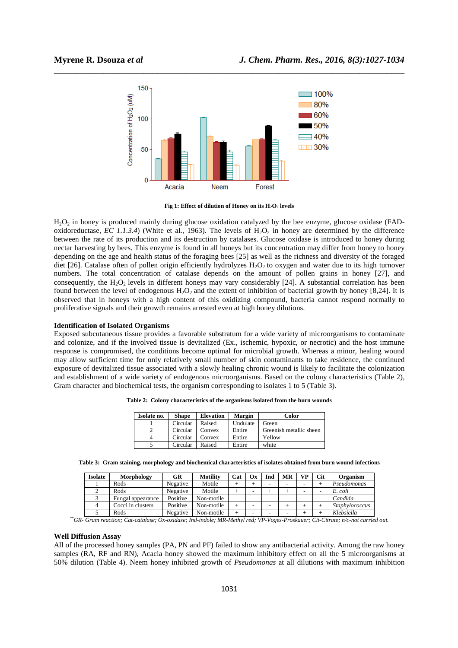

\_\_\_\_\_\_\_\_\_\_\_\_\_\_\_\_\_\_\_\_\_\_\_\_\_\_\_\_\_\_\_\_\_\_\_\_\_\_\_\_\_\_\_\_\_\_\_\_\_\_\_\_\_\_\_\_\_\_\_\_\_\_\_\_\_\_\_\_\_\_\_\_\_\_\_\_\_\_

**Fig 1: Effect of dilution of Honey on its**  $H_2O_2$  **levels** 

 $H<sub>2</sub>O<sub>2</sub>$  in honey is produced mainly during glucose oxidation catalyzed by the bee enzyme, glucose oxidase (FADoxidoreductase, *EC 1.1.3.4*) (White et al., 1963). The levels of  $H_2O_2$  in honey are determined by the difference between the rate of its production and its destruction by catalases. Glucose oxidase is introduced to honey during nectar harvesting by bees. This enzyme is found in all honeys but its concentration may differ from honey to honey depending on the age and health status of the foraging bees [25] as well as the richness and diversity of the foraged diet [26]. Catalase often of pollen origin efficiently hydrolyzes  $H_2O_2$  to oxygen and water due to its high turnover numbers. The total concentration of catalase depends on the amount of pollen grains in honey [27], and consequently, the H<sub>2</sub>O<sub>2</sub> levels in different honeys may vary considerably [24]. A substantial correlation has been found between the level of endogenous  $H_2O_2$  and the extent of inhibition of bacterial growth by honey [8,24]. It is observed that in honeys with a high content of this oxidizing compound, bacteria cannot respond normally to proliferative signals and their growth remains arrested even at high honey dilutions.

#### **Identification of Isolated Organisms**

Exposed subcutaneous tissue provides a favorable substratum for a wide variety of microorganisms to contaminate and colonize, and if the involved tissue is devitalized (Ex., ischemic, hypoxic, or necrotic) and the host immune response is compromised, the conditions become optimal for microbial growth. Whereas a minor, healing wound may allow sufficient time for only relatively small number of skin contaminants to take residence, the continued exposure of devitalized tissue associated with a slowly healing chronic wound is likely to facilitate the colonization and establishment of a wide variety of endogenous microorganisms. Based on the colony characteristics (Table 2), Gram character and biochemical tests, the organism corresponding to isolates 1 to 5 (Table 3).

| Table 2: Colony characteristics of the organisms isolated from the burn wounds |  |  |  |  |  |  |  |  |
|--------------------------------------------------------------------------------|--|--|--|--|--|--|--|--|
|--------------------------------------------------------------------------------|--|--|--|--|--|--|--|--|

| Isolate no. | <b>Shape</b> | <b>Elevation</b> | <b>Margin</b> | Color                   |
|-------------|--------------|------------------|---------------|-------------------------|
|             | Circular     | Raised           | Undulate      | Green                   |
|             | Circular     | Convex           | Entire        | Greenish metallic sheen |
| 4           | Circular     | Convex           | Entire        | Yellow                  |
|             | Circular     | Raised           | Entire        | white                   |

**Table 3: Gram staining, morphology and biochemical characteristics of isolates obtained from burn wound infections** 

| <b>Isolate</b> | Morphology        | GR       | Motility   | Cat | Oх | Ind | MR | <b>VP</b> | Cit | Organism              |
|----------------|-------------------|----------|------------|-----|----|-----|----|-----------|-----|-----------------------|
|                | Rods              | Negative | Motile     |     |    | -   | -  | -         |     | Pseudomonas           |
| ∠              | Rods              | Negative | Motile     |     |    |     |    |           |     | E. coli               |
|                | Fungal appearance | Positive | Non-motile |     |    |     |    |           |     | Candida               |
|                | Cocci in clusters | Positive | Non-motile |     |    | -   |    |           |     | <b>Staphylococcus</b> |
|                | Rods              | Negative | Non-motile |     | -  | -   | -  |           |     | Klebsiella            |

*\*\*GR- Gram reaction; Cat-catalase; Ox-oxidase; Ind-indole; MR-Methyl red; VP-Voges-Proskauer; Cit-Citrate; n/c-not carried out.* 

#### **Well Diffusion Assay**

All of the processed honey samples (PA, PN and PF) failed to show any antibacterial activity. Among the raw honey samples (RA, RF and RN), Acacia honey showed the maximum inhibitory effect on all the 5 microorganisms at 50% dilution (Table 4). Neem honey inhibited growth of *Pseudomonas* at all dilutions with maximum inhibition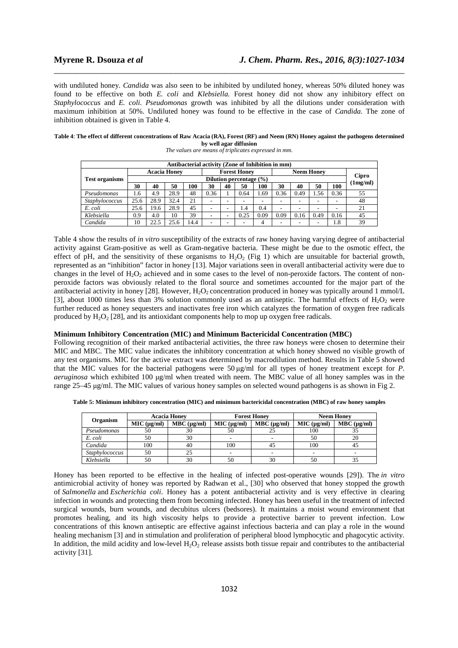with undiluted honey. *Candida* was also seen to be inhibited by undiluted honey, whereas 50% diluted honey was found to be effective on both *E. coli* and *Klebsiella.* Forest honey did not show any inhibitory effect on *Staphylococcus* and *E. coli. Pseudomonas* growth was inhibited by all the dilutions under consideration with maximum inhibition at 50%. Undiluted honey was found to be effective in the case of *Candida.* The zone of inhibition obtained is given in Table 4.

\_\_\_\_\_\_\_\_\_\_\_\_\_\_\_\_\_\_\_\_\_\_\_\_\_\_\_\_\_\_\_\_\_\_\_\_\_\_\_\_\_\_\_\_\_\_\_\_\_\_\_\_\_\_\_\_\_\_\_\_\_\_\_\_\_\_\_\_\_\_\_\_\_\_\_\_\_\_

| Table 4: The effect of different concentrations of Raw Acacia (RA), Forest (RF) and Neem (RN) Honey against the pathogens determined |
|--------------------------------------------------------------------------------------------------------------------------------------|
| by well agar diffusion                                                                                                               |

| Antibacterial activity (Zone of Inhibition in mm) |                         |      |      |                     |      |    |                   |      |      |       |      |      |                       |
|---------------------------------------------------|-------------------------|------|------|---------------------|------|----|-------------------|------|------|-------|------|------|-----------------------|
| <b>Test organisms</b>                             | <b>Acacia Honey</b>     |      |      | <b>Forest Honey</b> |      |    | <b>Neem Honey</b> |      |      |       |      |      |                       |
|                                                   | Dilution percentage (%) |      |      |                     |      |    |                   |      |      | Cipro |      |      |                       |
|                                                   | 30                      | 40   | 50   | 100                 | 30   | 40 | 50                | 100  | 30   | 40    | 50   | 100  | (1 <sub>mg/ml</sub> ) |
| Pseudomonas                                       | 1.6                     | 4.9  | 28.9 | 48                  | 0.36 |    | 0.64              | 1.69 | 0.36 | 0.49  | 1.56 | 0.36 | 55                    |
| Staphylococcus                                    | 25.6                    | 28.9 | 32.4 | 21                  |      |    |                   |      |      |       |      |      | 48                    |
| E. coli                                           | 25.6                    | 19.6 | 28.9 | 45                  |      |    | 1.4               | 0.4  | ۰    |       |      |      | 21                    |
| Klebsiella                                        | 0.9                     | 4.0  | 10   | 39                  |      |    | 0.25              | 0.09 | 0.09 | 0.16  | 0.49 | 0.16 | 45                    |
| Candida                                           | 10                      | 22.5 | 25.6 | 14.4                |      |    |                   | 4    |      |       |      | 1.8  | 39                    |

*The values are means of triplicates expressed in mm.* 

Table 4 show the results of *in vitro* susceptibility of the extracts of raw honey having varying degree of antibacterial activity against Gram-positive as well as Gram-negative bacteria. These might be due to the osmotic effect, the effect of pH, and the sensitivity of these organisms to  $H_2O_2$  (Fig 1) which are unsuitable for bacterial growth, represented as an "inhibition" factor in honey [13]. Major variations seen in overall antibacterial activity were due to changes in the level of  $H_2O_2$  achieved and in some cases to the level of non-peroxide factors. The content of nonperoxide factors was obviously related to the floral source and sometimes accounted for the major part of the antibacterial activity in honey [28]. However,  $H_2O_2$  concentration produced in honey was typically around 1 mmol/L [3], about 1000 times less than 3% solution commonly used as an antiseptic. The harmful effects of  $H_2O_2$  were further reduced as honey sequesters and inactivates free iron which catalyzes the formation of oxygen free radicals produced by  $H_2O_2$  [28], and its antioxidant components help to mop up oxygen free radicals.

#### **Minimum Inhibitory Concentration (MIC) and Minimum Bactericidal Concentration (MBC)**

Following recognition of their marked antibacterial activities, the three raw honeys were chosen to determine their MIC and MBC. The MIC value indicates the inhibitory concentration at which honey showed no visible growth of any test organisms. MIC for the active extract was determined by macrodilution method. Results in Table 5 showed that the MIC values for the bacterial pathogens were 50 µg/ml for all types of honey treatment except for *P. aeruginosa* which exhibited 100 µg/ml when treated with neem. The MBC value of all honey samples was in the range 25–45 µg/ml. The MIC values of various honey samples on selected wound pathogens is as shown in Fig 2.

|  |  | Table 5: Minimum inhibitory concentration (MIC) and minimum bactericidal concentration (MBC) of raw honey samples |
|--|--|-------------------------------------------------------------------------------------------------------------------|
|--|--|-------------------------------------------------------------------------------------------------------------------|

| Organism       |             | <b>Acacia Honey</b> |             | <b>Forest Honey</b> | <b>Neem Honey</b> |                  |  |  |
|----------------|-------------|---------------------|-------------|---------------------|-------------------|------------------|--|--|
|                | MIC (µg/ml) | MBC (µg/ml)         | MIC (ug/ml) | $MBC$ ( $\mu$ g/ml) | MIC (µg/ml)       | $MBC (\mu g/ml)$ |  |  |
| Pseudomonas    | 50          | 30                  | 50          |                     | 100               |                  |  |  |
| E. coli        | 50          | 30                  |             |                     |                   |                  |  |  |
| Candida        | 100         | 40                  | 100         | 42                  | 100               |                  |  |  |
| Staphylococcus | 50          |                     |             |                     |                   |                  |  |  |
| Klebsiella     | 50          | 30                  | 50          | 30                  | 50                |                  |  |  |

Honey has been reported to be effective in the healing of infected post-operative wounds [29]). The *in vitro* antimicrobial activity of honey was reported by Radwan et al., [30] who observed that honey stopped the growth of *Salmonella* and *Escherichia coli*. Honey has a potent antibacterial activity and is very effective in clearing infection in wounds and protecting them from becoming infected. Honey has been useful in the treatment of infected surgical wounds, burn wounds, and decubitus ulcers (bedsores). It maintains a moist wound environment that promotes healing, and its high viscosity helps to provide a protective barrier to prevent infection. Low concentrations of this known antiseptic are effective against infectious bacteria and can play a role in the wound healing mechanism [3] and in stimulation and proliferation of peripheral blood lymphocytic and phagocytic activity. In addition, the mild acidity and low-level  $H_2O_2$  release assists both tissue repair and contributes to the antibacterial activity [31].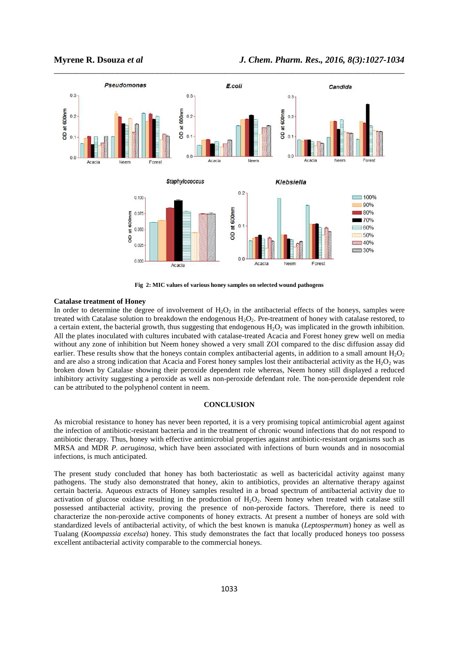

**Fig 2: MIC values of various honey samples on selected wound pathogens** 

#### **Catalase treatment of Honey**

In order to determine the degree of involvement of  $H_2O_2$  in the antibacterial effects of the honeys, samples were treated with Catalase solution to breakdown the endogenous  $H_2O_2$ . Pre-treatment of honey with catalase restored, to a certain extent, the bacterial growth, thus suggesting that endogenous  $H_2O_2$  was implicated in the growth inhibition. All the plates inoculated with cultures incubated with catalase-treated Acacia and Forest honey grew well on media without any zone of inhibition but Neem honey showed a very small ZOI compared to the disc diffusion assay did earlier. These results show that the honeys contain complex antibacterial agents, in addition to a small amount  $H_2O_2$ and are also a strong indication that Acacia and Forest honey samples lost their antibacterial activity as the  $H_2O_2$  was broken down by Catalase showing their peroxide dependent role whereas, Neem honey still displayed a reduced inhibitory activity suggesting a peroxide as well as non-peroxide defendant role. The non-peroxide dependent role can be attributed to the polyphenol content in neem.

#### **CONCLUSION**

As microbial resistance to honey has never been reported, it is a very promising topical antimicrobial agent against the infection of antibiotic-resistant bacteria and in the treatment of chronic wound infections that do not respond to antibiotic therapy. Thus, honey with effective antimicrobial properties against antibiotic-resistant organisms such as MRSA and MDR *P. aeruginosa*, which have been associated with infections of burn wounds and in nosocomial infections, is much anticipated.

The present study concluded that honey has both bacteriostatic as well as bactericidal activity against many pathogens. The study also demonstrated that honey, akin to antibiotics, provides an alternative therapy against certain bacteria. Aqueous extracts of Honey samples resulted in a broad spectrum of antibacterial activity due to activation of glucose oxidase resulting in the production of  $H_2O_2$ . Neem honey when treated with catalase still possessed antibacterial activity, proving the presence of non-peroxide factors. Therefore, there is need to characterize the non-peroxide active components of honey extracts. At present a number of honeys are sold with standardized levels of antibacterial activity, of which the best known is manuka (*Leptospermum*) honey as well as Tualang (*Koompassia excelsa*) honey. This study demonstrates the fact that locally produced honeys too possess excellent antibacterial activity comparable to the commercial honeys.